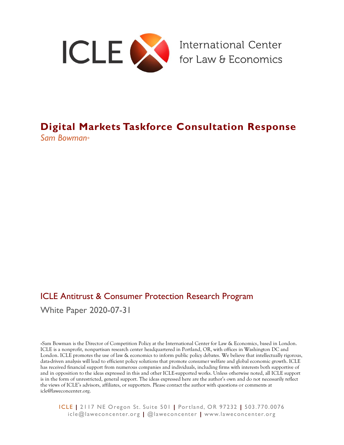

# **Digital Markets Taskforce Consultation Response** *Sam Bowman\**

# ICLE Antitrust & Consumer Protection Research Program

White Paper 2020-07-31

\*Sam Bowman is the Director of Competition Policy at the International Center for Law & Economics, based in London. ICLE is a nonprofit, nonpartisan research center headquartered in Portland, OR, with offices in Washington DC and London. ICLE promotes the use of law & economics to inform public policy debates. We believe that intellectually rigorous, data-driven analysis will lead to efficient policy solutions that promote consumer welfare and global economic growth. ICLE has received financial support from numerous companies and individuals, including firms with interests both supportive of and in opposition to the ideas expressed in this and other ICLE-supported works. Unless otherwise noted, all ICLE support is in the form of unrestricted, general support. The ideas expressed here are the author's own and do not necessarily reflect the views of ICLE's advisors, affiliates, or supporters. Please contact the author with questions or comments at icle@laweconcenter.org.

ICLE **|** 2117 NE Oregon St. Suite 501 **|** Por tland, OR 97232 **|** 503.770.0076 icle@laweconcenter.org **|** @laweconcenter **|** www.laweconcenter.org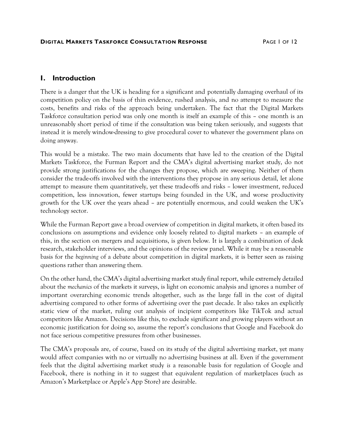### **I. Introduction**

There is a danger that the UK is heading for a significant and potentially damaging overhaul of its competition policy on the basis of thin evidence, rushed analysis, and no attempt to measure the costs, benefits and risks of the approach being undertaken. The fact that the Digital Markets Taskforce consultation period was only one month is itself an example of this – one month is an unreasonably short period of time if the consultation was being taken seriously, and suggests that instead it is merely window-dressing to give procedural cover to whatever the government plans on doing anyway.

This would be a mistake. The two main documents that have led to the creation of the Digital Markets Taskforce, the Furman Report and the CMA's digital advertising market study, do not provide strong justifications for the changes they propose, which are sweeping. Neither of them consider the trade-offs involved with the interventions they propose in any serious detail, let alone attempt to measure them quantitatively, yet these trade-offs and risks – lower investment, reduced competition, less innovation, fewer startups being founded in the UK, and worse productivity growth for the UK over the years ahead – are potentially enormous, and could weaken the UK's technology sector.

While the Furman Report gave a broad overview of competition in digital markets, it often based its conclusions on assumptions and evidence only loosely related to digital markets – an example of this, in the section on mergers and acquisitions, is given below. It is largely a combination of desk research, stakeholder interviews, and the opinions of the review panel. While it may be a reasonable basis for the *beginning* of a debate about competition in digital markets, it is better seen as raising questions rather than answering them*.*

On the other hand, the CMA's digital advertising market study final report, while extremely detailed about the *mechanics* of the markets it surveys, is light on economic analysis and ignores a number of important overarching economic trends altogether, such as the large fall in the cost of digital advertising compared to other forms of advertising over the past decade. It also takes an explicitly static view of the market, ruling out analysis of incipient competitors like TikTok and actual competitors like Amazon. Decisions like this, to exclude significant and growing players without an economic justification for doing so, assume the report's conclusions that Google and Facebook do not face serious competitive pressures from other businesses.

The CMA's proposals are, of course, based on its study of the digital advertising market, yet many would affect companies with no or virtually no advertising business at all. Even if the government feels that the digital advertising market study *is* a reasonable basis for regulation of Google and Facebook, there is nothing in it to suggest that equivalent regulation of marketplaces (such as Amazon's Marketplace or Apple's App Store) are desirable.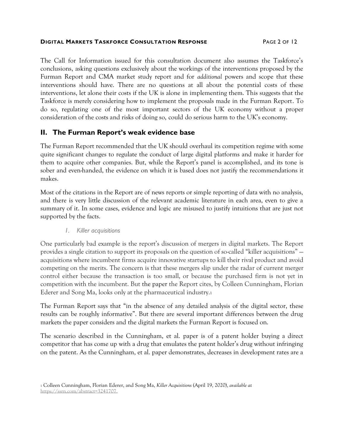#### **DIGITAL MARKETS TASKFORCE CONSULTATION RESPONSE** PAGE 2 OF 12

The Call for Information issued for this consultation document also assumes the Taskforce's conclusions, asking questions exclusively about the workings of the interventions proposed by the Furman Report and CMA market study report and for *additional* powers and scope that these interventions should have. There are no questions at all about the potential costs of these interventions, let alone their costs if the UK is alone in implementing them. This suggests that the Taskforce is merely considering how to implement the proposals made in the Furman Report. To do so, regulating one of the most important sectors of the UK economy without a proper consideration of the costs and risks of doing so, could do serious harm to the UK's economy.

# **II. The Furman Report's weak evidence base**

The Furman Report recommended that the UK should overhaul its competition regime with some quite significant changes to regulate the conduct of large digital platforms and make it harder for them to acquire other companies. But, while the Report's panel is accomplished, and its tone is sober and even-handed, the evidence on which it is based does not justify the recommendations it makes.

Most of the citations in the Report are of news reports or simple reporting of data with no analysis, and there is very little discussion of the relevant academic literature in each area, even to give a summary of it. In some cases, evidence and logic are misused to justify intuitions that are just not supported by the facts.

#### <span id="page-2-0"></span>*1. Killer acquisitions*

One particularly bad example is the report's discussion of mergers in digital markets. The Report provides a single citation to support its proposals on the question of so-called "killer acquisitions" acquisitions where incumbent firms acquire innovative startups to kill their rival product and avoid competing on the merits. The concern is that these mergers slip under the radar of current merger control either because the transaction is too small, or because the purchased firm is not yet in competition with the incumbent. But the paper the Report cites, by Colleen Cunningham, Florian Ederer and Song Ma, looks only at the pharmaceutical industry.<sup>1</sup>

The Furman Report says that "in the absence of any detailed analysis of the digital sector, these results can be roughly informative". But there are several important differences between the drug markets the paper considers and the digital markets the Furman Report is focused on.

The scenario described in the Cunningham, et al. paper is of a patent holder buying a direct competitor that has come up with a drug that emulates the patent holder's drug without infringing on the patent. As the Cunningham, et al. paper demonstrates, decreases in development rates are a

<sup>1</sup> Colleen Cunningham, Florian Ederer, and Song Ma, *Killer Acquisitions* (April 19, 2020), *available at* [https://ssrn.com/abstract=3241707.](https://ssrn.com/abstract=3241707)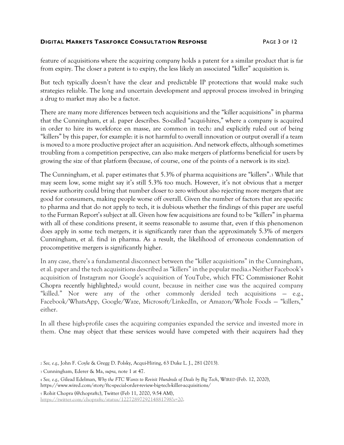#### **DIGITAL MARKETS TASKFORCE CONSULTATION RESPONSE** PAGE 3 OF 12

feature of acquisitions where the acquiring company holds a patent for a similar product that is far from expiry. The closer a patent is to expiry, the less likely an associated "killer" acquisition is.

But tech typically doesn't have the clear and predictable IP protections that would make such strategies reliable. The long and uncertain development and approval process involved in bringing a drug to market may also be a factor.

There are many more differences between tech acquisitions and the "killer acquisitions" in pharma that the Cunningham, et al. paper describes. So-called "acqui-hires," where a company is acquired in order to hire its workforce en masse, are common in tech<sub>2</sub> and explicitly ruled out of being "killers" by this paper, for example: it is not harmful to overall innovation or output overall if a team is moved to a more productive project after an acquisition. And network effects, although sometimes troubling from a competition perspective, can also make mergers of platforms beneficial for users by growing the size of that platform (because, of course, one of the points of a network is its size).

The Cunningham, et al. paper estimates that 5.3% of pharma acquisitions are "killers".<sup>3</sup> While that may seem low, some might say it's still 5.3% too much. However, it's not obvious that a merger review authority could bring that number closer to zero without also rejecting more mergers that are good for consumers, making people worse off overall. Given the number of factors that are specific to pharma and that do not apply to tech, it is dubious whether the findings of this paper are useful to the Furman Report's subject at all. Given how few acquisitions are found to be "killers" in pharma with all of these conditions present, it seems reasonable to assume that, even if this phenomenon does apply in some tech mergers, it is significantly rarer than the approximately 5.3% of mergers Cunningham, et al. find in pharma. As a result, the likelihood of erroneous condemnation of procompetitive mergers is significantly higher.

In any case, there's a fundamental disconnect between the "killer acquisitions" in the Cunningham, et al. paper and the tech acquisitions described as "killers" in the popular media.<sup>4</sup> Neither Facebook's acquisition of Instagram nor Google's acquisition of YouTube, which FTC Commissioner Rohit Chopra recently highlighted,<sup>5</sup> would count, because in neither case was the acquired company "killed." Nor were any of the other commonly derided tech acquisitions — e.g., Facebook/WhatsApp, Google/Waze, Microsoft/LinkedIn, or Amazon/Whole Foods — "killers," either.

In all these high-profile cases the acquiring companies expanded the service and invested more in them. One may object that these services would have competed with their acquirers had they

<sup>5</sup> Rohit Chopra (@chopraftc), Twitter (Feb 11, 2020, 9:54 AM), [https://twitter.com/chopraftc/status/1227289729214881798?s=20.](https://twitter.com/chopraftc/status/1227289729214881798?s=20)

<sup>2</sup> *See, e.g.,* John F. Coyle & Gregg D. Polsky, Acqui-Hiring, 63 Duke L. J., 281 (2013).

<sup>3</sup> Cunningham, Ederer & Ma, *supra,* not[e 1](#page-2-0) at 47.

<sup>4</sup> *See, e.g.,* Gilead Edelman, *Why the FTC Wants to Revisit Hundreds of Deals by Big Tech*, WIRED (Feb. 12, 2020), https://www.wired.com/story/ftc-special-order-review-big-tech-killer-acquisitions/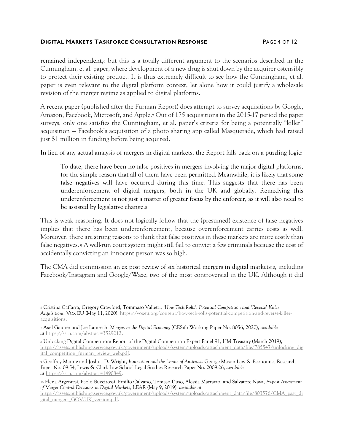#### **DIGITAL MARKETS TASKFORCE CONSULTATION RESPONSE** PAGE 4 OF 12

remained independent,<sup>6</sup> but this is a totally different argument to the scenarios described in the Cunningham, et al. paper, where development of a new drug is shut down by the acquirer ostensibly to protect their existing product. It is thus extremely difficult to see how the Cunningham, et al. paper is even relevant to the digital platform context, let alone how it could justify a wholesale revision of the merger regime as applied to digital platforms.

A recent paper (published after the Furman Report) does attempt to survey acquisitions by Google, Amazon, Facebook, Microsoft, and Apple.<sup>7</sup> Out of 175 acquisitions in the 2015-17 period the paper surveys, only one satisfies the Cunningham, et al. paper's criteria for being a potentially "killer" acquisition — Facebook's acquisition of a photo sharing app called Masquerade, which had raised just \$1 million in funding before being acquired.

In lieu of any actual analysis of mergers in digital markets, the Report falls back on a puzzling logic:

<span id="page-4-0"></span>To date, there have been no false positives in mergers involving the major digital platforms, for the simple reason that all of them have been permitted. Meanwhile, it is likely that some false negatives will have occurred during this time. This suggests that there has been underenforcement of digital mergers, both in the UK and globally. Remedying this underenforcement is not just a matter of greater focus by the enforcer, as it will also need to be assisted by legislative change.<sup>8</sup>

This is weak reasoning. It does not logically follow that the (presumed) existence of false negatives implies that there has been underenforcement, because overenforcement carries costs as well. Moreover, there are strong reasons to think that false positives in these markets are more costly than false negatives. <sup>9</sup> A well-run court system might still fail to convict a few criminals because the cost of accidentally convicting an innocent person was so high.

The CMA did commission an ex post review of six historical mergers in digital markets10, including Facebook/Instagram and Google/Waze, two of the most controversial in the UK. Although it did

<sup>7</sup> Axel Gautier and Joe Lamesch, *Mergers in the Digital Economy* (CESifo Working Paper No. 8056, 2020), *available at* [https://ssrn.com/abstract=3529012.](https://ssrn.com/abstract=3529012)

<sup>8</sup> Unlocking Digital Competition: Report of the Digital Competition Expert Panel 91, HM Treasury (March 2019), [https://assets.publishing.service.gov.uk/government/uploads/system/uploads/attachment\\_data/file/785547/unlocking\\_dig](https://assets.publishing.service.gov.uk/government/uploads/system/uploads/attachment_data/file/785547/unlocking_digital_competition_furman_review_web.pdf) [ital\\_competition\\_furman\\_review\\_web.pdf.](https://assets.publishing.service.gov.uk/government/uploads/system/uploads/attachment_data/file/785547/unlocking_digital_competition_furman_review_web.pdf)

<sup>9</sup> Geoffrey Manne and Joshua D. Wright, *Innovation and the Limits of Antitrust*. George Mason Law & Economics Research Paper No. 09-54, Lewis & Clark Law School Legal Studies Research Paper No. 2009-26, *available at* [https://ssrn.com/abstract=1490849.](https://ssrn.com/abstract=1490849)

<sup>6</sup> Cristina Caffarra, Gregory Crawford, Tommaso Valletti*, 'How Tech Rolls': Potential Competition and 'Reverse' Killer Acquisitions,* VOX EU (May 11, 2020), [https://voxeu.org/content/how-tech-rolls-potential-competition-and-reverse-killer](https://voxeu.org/content/how-tech-rolls-potential-competition-and-reverse-killer-acquisitions)[acquisitions.](https://voxeu.org/content/how-tech-rolls-potential-competition-and-reverse-killer-acquisitions)

<sup>10</sup> Elena Argentesi, Paolo Buccirossi, Emilio Calvano, Tomaso Duso, Alessia Marrazzo, and Salvatore Nava, *Ex-post Assessment of Merger Control Decisions in Digital Markets,* LEAR (May 9, 2019), *available at* [https://assets.publishing.service.gov.uk/government/uploads/system/uploads/attachment\\_data/file/803576/CMA\\_past\\_di](https://assets.publishing.service.gov.uk/government/uploads/system/uploads/attachment_data/file/803576/CMA_past_digital_mergers_GOV.UK_version.pdf) [gital\\_mergers\\_GOV.UK\\_version.pdf.](https://assets.publishing.service.gov.uk/government/uploads/system/uploads/attachment_data/file/803576/CMA_past_digital_mergers_GOV.UK_version.pdf)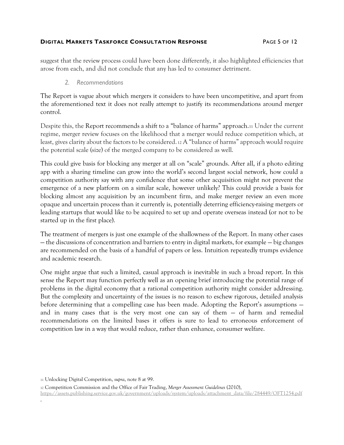#### **DIGITAL MARKETS TASKFORCE CONSULTATION RESPONSE** PAGE 5 OF 12

suggest that the review process could have been done differently, it also highlighted efficiencies that arose from each, and did not conclude that any has led to consumer detriment.

#### *2. Recommendations*

The Report is vague about which mergers it considers to have been uncompetitive, and apart from the aforementioned text it does not really attempt to justify its recommendations around merger control.

Despite this, the Report recommends a shift to a "balance of harms" approach.<sup>11</sup> Under the current regime, merger review focuses on the likelihood that a merger would reduce competition which, at least, gives clarity about the factors to be considered. <sup>12</sup> A "balance of harms" approach would require the potential scale (size) of the merged company to be considered as well.

This could give basis for blocking any merger at all on "scale" grounds. After all, if a photo editing app with a sharing timeline can grow into the world's second largest social network, how could a competition authority say with any confidence that some other acquisition might not prevent the emergence of a new platform on a similar scale, however unlikely? This could provide a basis for blocking almost any acquisition by an incumbent firm, and make merger review an even more opaque and uncertain process than it currently is, potentially deterring efficiency-raising mergers or leading startups that would like to be acquired to set up and operate overseas instead (or not to be started up in the first place).

The treatment of mergers is just one example of the shallowness of the Report. In many other cases — the discussions of concentration and barriers to entry in digital markets, for example — big changes are recommended on the basis of a handful of papers or less. Intuition repeatedly trumps evidence and academic research.

One might argue that such a limited, casual approach is inevitable in such a broad report. In this sense the Report may function perfectly well as an opening brief introducing the potential range of problems in the digital economy that a rational competition authority might consider addressing. But the complexity and uncertainty of the issues is no reason to eschew rigorous, detailed analysis before determining that a compelling case has been made. Adopting the Report's assumptions and in many cases that is the very most one can say of them — of harm and remedial recommendations on the limited bases it offers is sure to lead to erroneous enforcement of competition law in a way that would reduce, rather than enhance, consumer welfare.

<sup>11</sup> Unlocking Digital Competition, *supra*, not[e 8](#page-4-0) at 99.

<sup>12</sup> Competition Commission and the Office of Fair Trading, *Merger Assessment Guidelines* (2010), [https://assets.publishing.service.gov.uk/government/uploads/system/uploads/attachment\\_data/file/284449/OFT1254.pdf](https://assets.publishing.service.gov.uk/government/uploads/system/uploads/attachment_data/file/284449/OFT1254.pdf)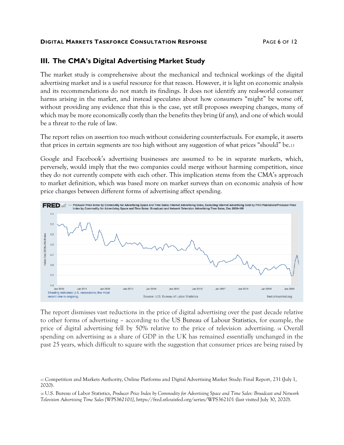#### **DIGITAL MARKETS TASKFORCE CONSULTATION RESPONSE** PAGE 6 OF 12

## **III. The CMA's Digital Advertising Market Study**

The market study is comprehensive about the mechanical and technical workings of the digital advertising market and is a useful resource for that reason. However, it is light on economic analysis and its recommendations do not match its findings. It does not identify any real-world consumer harms arising in the market, and instead speculates about how consumers "might" be worse off, without providing any evidence that this is the case, yet still proposes sweeping changes, many of which may be more economically costly than the benefits they bring (if any), and one of which would be a threat to the rule of law.

The report relies on assertion too much without considering counterfactuals. For example, it asserts that prices in certain segments are too high without any suggestion of what prices "should" be.<sup>13</sup>

Google and Facebook's advertising businesses are assumed to be in separate markets, which, perversely, would imply that the two companies could merge without harming competition, since they do not currently compete with each other. This implication stems from the CMA's approach to market definition, which was based more on market surveys than on economic analysis of how price changes between different forms of advertising affect spending.



The report dismisses vast reductions in the price of digital advertising over the past decade relative to other forms of advertising – according to the US Bureau of Labour Statistics, for example, the price of digital advertising fell by 50% relative to the price of television advertising. <sup>14</sup> Overall spending on advertising as a share of GDP in the UK has remained essentially unchanged in the past 25 years, which difficult to square with the suggestion that consumer prices are being raised by

<sup>13</sup> Competition and Markets Authority, Online Platforms and Digital Advertising Market Study: Final Report, 231 (July 1, 2020).

<sup>14</sup> U.S. Bureau of Labor Statistics, *Producer Price Index by Commodity for Advertising Space and Time Sales: Broadcast and Network Television Advertising Time Sales [WPS362101]*, https://fred.stlouisfed.org/series/WPS362101 (last visited July 30, 2020).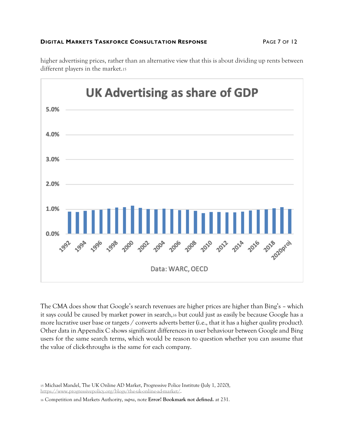#### **DIGITAL MARKETS TASKFORCE CONSULTATION RESPONSE** PAGE 7 OF 12

higher advertising prices, rather than an alternative view that this is about dividing up rents between different players in the market.<sup>15</sup>



The CMA does show that Google's search revenues are higher prices are higher than Bing's – which it says could be caused by market power in search,<sup>16</sup> but could just as easily be because Google has a more lucrative user base or targets / converts adverts better (i.e., that it has a higher quality product). Other data in Appendix C shows significant differences in user behaviour between Google and Bing users for the same search terms, which would be reason to question whether you can assume that the value of click-throughs is the same for each company.

<sup>15</sup> Michael Mandel, The UK Online AD Market, Progressive Police Institute (July 1, 2020), [https://www.progressivepolicy.org/blogs/the-uk-online-ad-market/.](https://www.progressivepolicy.org/blogs/the-uk-online-ad-market/)

<sup>16</sup> Competition and Markets Authority, *supra*, note **Error! Bookmark not defined.** at 231.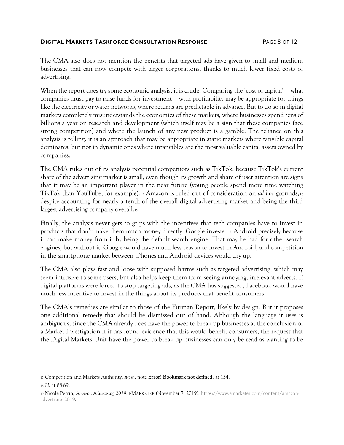#### **DIGITAL MARKETS TASKFORCE CONSULTATION RESPONSE** PAGE 8 OF 12

The CMA also does not mention the benefits that targeted ads have given to small and medium businesses that can now compete with larger corporations, thanks to much lower fixed costs of advertising.

When the report does try some economic analysis, it is crude. Comparing the 'cost of capital' — what companies must pay to raise funds for investment — with profitability may be appropriate for things like the electricity or water networks, where returns are predictable in advance. But to do so in digital markets completely misunderstands the economics of these markets, where businesses spend tens of billions a year on research and development (which itself may be a sign that these companies face strong competition) and where the launch of any new product is a gamble. The reliance on this analysis is telling: it is an approach that may be appropriate in static markets where tangible capital dominates, but not in dynamic ones where intangibles are the most valuable capital assets owned by companies.

The CMA rules out of its analysis potential competitors such as TikTok, because TikTok's current share of the advertising market is small, even though its growth and share of user attention are signs that it may be an important player in the near future (young people spend more time watching TikTok than YouTube, for example).<sup>17</sup> Amazon is ruled out of consideration on *ad hoc* grounds,<sup>18</sup> despite accounting for nearly a tenth of the overall digital advertising market and being the third largest advertising company overall.<sup>19</sup>

Finally, the analysis never gets to grips with the incentives that tech companies have to invest in products that don't make them much money directly. Google invests in Android precisely because it can make money from it by being the default search engine. That may be bad for other search engines, but without it, Google would have much less reason to invest in Android, and competition in the smartphone market between iPhones and Android devices would dry up.

The CMA also plays fast and loose with supposed harms such as targeted advertising, which may seem intrusive to some users, but also helps keep them from seeing annoying, irrelevant adverts. If digital platforms were forced to stop targeting ads, as the CMA has suggested, Facebook would have much less incentive to invest in the things about its products that benefit consumers.

The CMA's remedies are similar to those of the Furman Report, likely by design. But it proposes one additional remedy that should be dismissed out of hand. Although the language it uses is ambiguous, since the CMA already does have the power to break up businesses at the conclusion of a Market Investigation if it has found evidence that this would benefit consumers, the request that the Digital Markets Unit have the power to break up businesses can only be read as wanting to be

<sup>17</sup> Competition and Markets Authority, *supra*, note **Error! Bookmark not defined.** at 134.

<sup>18</sup> *Id*. at 88-89.

<sup>19</sup> Nicole Perrin, *Amazon Advertising 2019*, EMARKETER (November 7, 2019), [https://www.emarketer.com/content/amazon](https://www.emarketer.com/content/amazon-advertising-2019)[advertising-2019.](https://www.emarketer.com/content/amazon-advertising-2019)